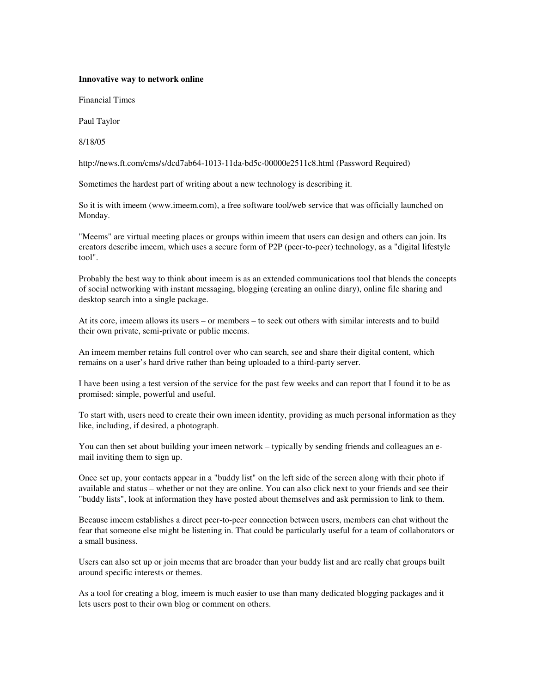## **Innovative way to network online**

Financial Times

Paul Taylor

8/18/05

http://news.ft.com/cms/s/dcd7ab64-1013-11da-bd5c-00000e2511c8.html (Password Required)

Sometimes the hardest part of writing about a new technology is describing it.

So it is with imeem (www.imeem.com), a free software tool/web service that was officially launched on Monday.

"Meems" are virtual meeting places or groups within imeem that users can design and others can join. Its creators describe imeem, which uses a secure form of P2P (peer-to-peer) technology, as a "digital lifestyle tool".

Probably the best way to think about imeem is as an extended communications tool that blends the concepts of social networking with instant messaging, blogging (creating an online diary), online file sharing and desktop search into a single package.

At its core, imeem allows its users – or members – to seek out others with similar interests and to build their own private, semi-private or public meems.

An imeem member retains full control over who can search, see and share their digital content, which remains on a user's hard drive rather than being uploaded to a third-party server.

I have been using a test version of the service for the past few weeks and can report that I found it to be as promised: simple, powerful and useful.

To start with, users need to create their own imeen identity, providing as much personal information as they like, including, if desired, a photograph.

You can then set about building your imeen network – typically by sending friends and colleagues an email inviting them to sign up.

Once set up, your contacts appear in a "buddy list" on the left side of the screen along with their photo if available and status – whether or not they are online. You can also click next to your friends and see their "buddy lists", look at information they have posted about themselves and ask permission to link to them.

Because imeem establishes a direct peer-to-peer connection between users, members can chat without the fear that someone else might be listening in. That could be particularly useful for a team of collaborators or a small business.

Users can also set up or join meems that are broader than your buddy list and are really chat groups built around specific interests or themes.

As a tool for creating a blog, imeem is much easier to use than many dedicated blogging packages and it lets users post to their own blog or comment on others.